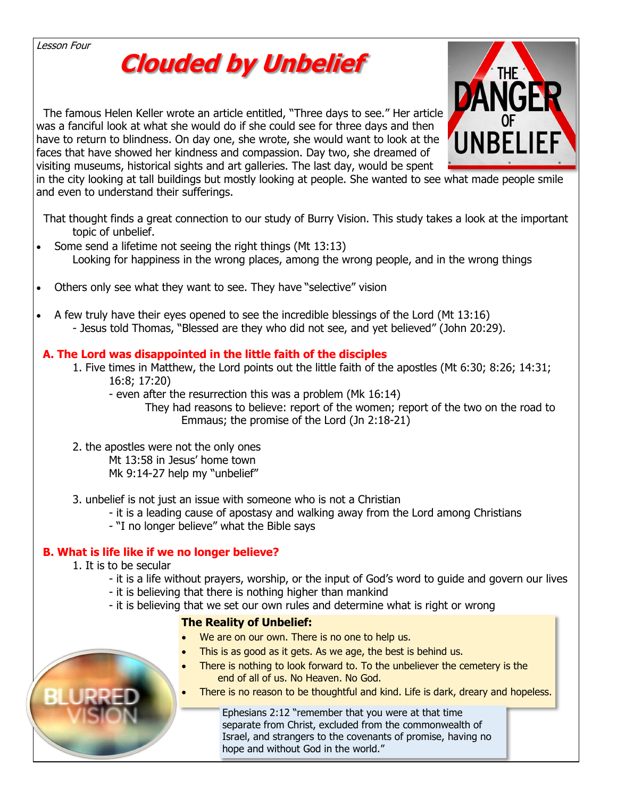Lesson Four

# **Clouded by Unbelief**

 The famous Helen Keller wrote an article entitled, "Three days to see." Her article was a fanciful look at what she would do if she could see for three days and then have to return to blindness. On day one, she wrote, she would want to look at the faces that have showed her kindness and compassion. Day two, she dreamed of visiting museums, historical sights and art galleries. The last day, would be spent



in the city looking at tall buildings but mostly looking at people. She wanted to see [what made people smile](https://www.google.com/url?sa=i&url=http%3A%2F%2Fezekiel38rapture.blogspot.com%2F2013%2F05%2Funbelief-ultimate-sin.html&psig=AOvVaw0tyBVc4CG8kk0M7DhV5Pdd&ust=1588174011690000&source=images&cd=vfe&ved=0CAIQjRxqFwoTCOik1Le3i-kCFQAAAAAdAAAAABAD)  and even to understand their sufferings.

 That thought finds a great connection to our study of Burry Vision. This study takes a look at the important topic of unbelief.

- Some send a lifetime not seeing the right things (Mt 13:13) Looking for happiness in the wrong places, among the wrong people, and in the wrong things
- Others only see what they want to see. They have "selective" vision
- A few truly have their eyes opened to see the incredible blessings of the Lord (Mt 13:16) - Jesus told Thomas, "Blessed are they who did not see, and yet believed" (John 20:29).

## **A. The Lord was disappointed in the little faith of the disciples**

- 1. Five times in Matthew, the Lord points out the little faith of the apostles (Mt 6:30; 8:26; 14:31; 16:8; 17:20)
	- even after the resurrection this was a problem (Mk 16:14)

They had reasons to believe: report of the women; report of the two on the road to Emmaus; the promise of the Lord (Jn 2:18-21)

- 2. the apostles were not the only ones Mt 13:58 in Jesus' home town Mk 9:14-27 help my "unbelief"
- 3. unbelief is not just an issue with someone who is not a Christian
	- it is a leading cause of apostasy and walking away from the Lord among Christians
	- "I no longer believe" what the Bible says

## **B. What is life like if we no longer believe?**

- 1. It is to be secular
	- it is a life without prayers, worship, or the input of God's word to guide and govern our lives
	- it is believing that there is nothing higher than mankind
	- it is believing that we set our own rules and determine what is right or wrong

## **The Reality of Unbelief:**

- We are on our own. There is no one to help us.
- This is as good as it gets. As we age, the best is behind us.
- There is nothing to look forward to. To the unbeliever the cemetery is the end of all of us. No Heaven. No God.
- There is no reason to be thoughtful and kind. Life is dark, dreary and hopeless.

Ephesians 2:12 "remember that you were at that time separate from Christ, excluded from the commonwealth of Israel, and strangers to the covenants of promise, having no hope and without God in the world."